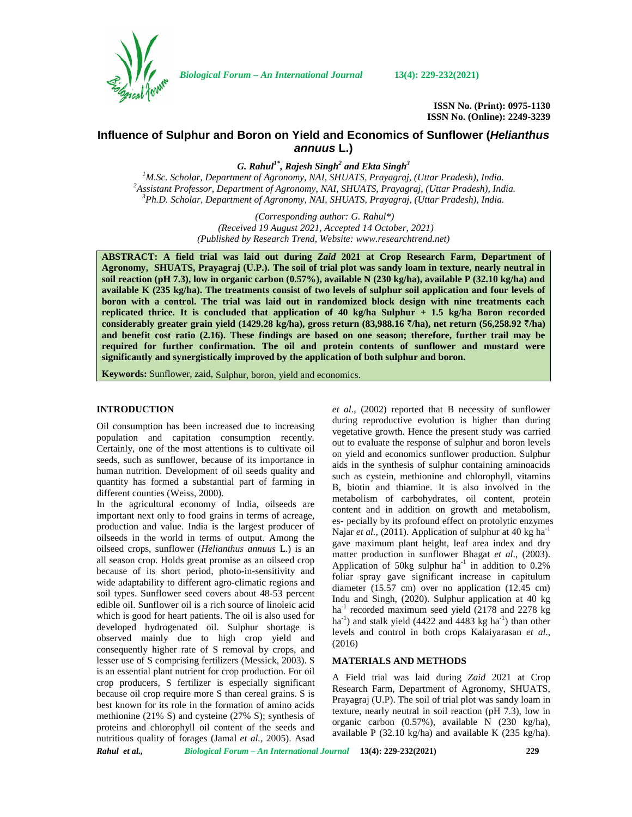

*Biological Forum – An International Journal* **13(4): 229-232(2021)**

**ISSN No. (Print): 0975-1130 ISSN No. (Online): 2249-3239**

# **Influence of Sulphur and Boron on Yield and Economics of Sunflower (***Helianthus annuus* **L.)**

*G. Rahul1\*, Rajesh Singh<sup>2</sup> and Ekta Singh<sup>3</sup>* <sup>2</sup> Assistant Professor, Department of Agronomy, NAI, SHUATS, Prayagraj, (Uttar Pradesh), India.<br><sup>3</sup> Ph.D. Scholar, Department of Agronomy, NAI, SHUATS, Prayagraj, (Uttar Pradesh), India.

> *(Corresponding author: G. Rahul\*) (Received 19 August 2021, Accepted 14 October, 2021) (Published by Research Trend, Website: [www.researchtrend.net\)](www.researchtrend.net)*

**ABSTRACT: A field trial was laid out during** *Zaid* **2021 at Crop Research Farm, Department of Agronomy, SHUATS, Prayagraj (U.P.). The soil of trial plot was sandy loam in texture, nearly neutral in soil reaction (pH 7.3), low in organic carbon (0.57%), available N (230 kg/ha), available P (32.10 kg/ha) and available K (235 kg/ha). The treatments consist of two levels of sulphur soil application and four levels of boron with a control. The trial was laid out in randomized block design with nine treatments each replicated thrice. It is concluded that application of 40 kg/ha Sulphur + 1.5 kg/ha Boron recorded considerably greater grain yield (1429.28 kg/ha), gross return (83,988.16** `**/ha), net return (56,258.92** `**/ha) and benefit cost ratio (2.16). These findings are based on one season; therefore, further trail may be required for further confirmation. The oil and protein contents of sunflower and mustard were significantly and synergistically improved by the application of both sulphur and boron.**

**Keywords:** Sunflower, zaid, Sulphur, boron, yield and economics.

## **INTRODUCTION**

Oil consumption has been increased due to increasing population and capitation consumption recently. Certainly, one of the most attentions is to cultivate oil seeds, such as sunflower, because of its importance in human nutrition. Development of oil seeds quality and quantity has formed a substantial part of farming in different counties (Weiss, 2000).

In the agricultural economy of India, oilseeds are important next only to food grains in terms of acreage, production and value. India is the largest producer of oilseeds in the world in terms of output. Among the oilseed crops, sunflower (*Helianthus annuus* L.) is an all season crop. Holds great promise as an oilseed crop because of its short period, photo-in-sensitivity and wide adaptability to different agro-climatic regions and soil types. Sunflower seed covers about 48-53 percent edible oil. Sunflower oil is a rich source of linoleic acid which is good for heart patients. The oil is also used for developed hydrogenated oil. Sulphur shortage is observed mainly due to high crop yield and consequently higher rate of S removal by crops, and lesser use of S comprising fertilizers (Messick, 2003). S is an essential plant nutrient for crop production. For oil crop producers, S fertilizer is especially significant because oil crop require more S than cereal grains. S is best known for its role in the formation of amino acids methionine (21% S) and cysteine (27% S); synthesis of proteins and chlorophyll oil content of the seeds and nutritious quality of forages (Jamal *et al.,* 2005). Asad *et al*., (2002) reported that B necessity of sunflower during reproductive evolution is higher than during vegetative growth. Hence the present study was carried out to evaluate the response of sulphur and boron levels on yield and economics sunflower production. Sulphur aids in the synthesis of sulphur containing aminoacids such as cystein, methionine and chlorophyll, vitamins B, biotin and thiamine. It is also involved in the metabolism of carbohydrates, oil content, protein content and in addition on growth and metabolism, es- pecially by its profound effect on protolytic enzymes Najar *et al.*, (2011). Application of sulphur at 40 kg ha<sup>-1</sup> gave maximum plant height, leaf area index and dry matter production in sunflower Bhagat *et al*., (2003). Application of 50kg sulphur ha<sup>-1</sup> in addition to  $0.2\%$ foliar spray gave significant increase in capitulum diameter (15.57 cm) over no application (12.45 cm) Indu and Singh, (2020). Sulphur application at 40 kg  $ha^{-1}$  recorded maximum seed yield (2178 and 2278 kg) ha<sup>-1</sup>) and stalk yield (4422 and 4483 kg ha<sup>-1</sup>) than other levels and control in both crops Kalaiyarasan *et al*., (2016)

## **MATERIALS AND METHODS**

A Field trial was laid during *Zaid* 2021 at Crop Research Farm, Department of Agronomy, SHUATS, Prayagraj (U.P). The soil of trial plot was sandy loam in texture, nearly neutral in soil reaction (pH 7.3), low in organic carbon (0.57%), available N (230 kg/ha), available P (32.10 kg/ha) and available K (235 kg/ha).

*Rahul et al., Biological Forum – An International Journal* **13(4): 229-232(2021) 229**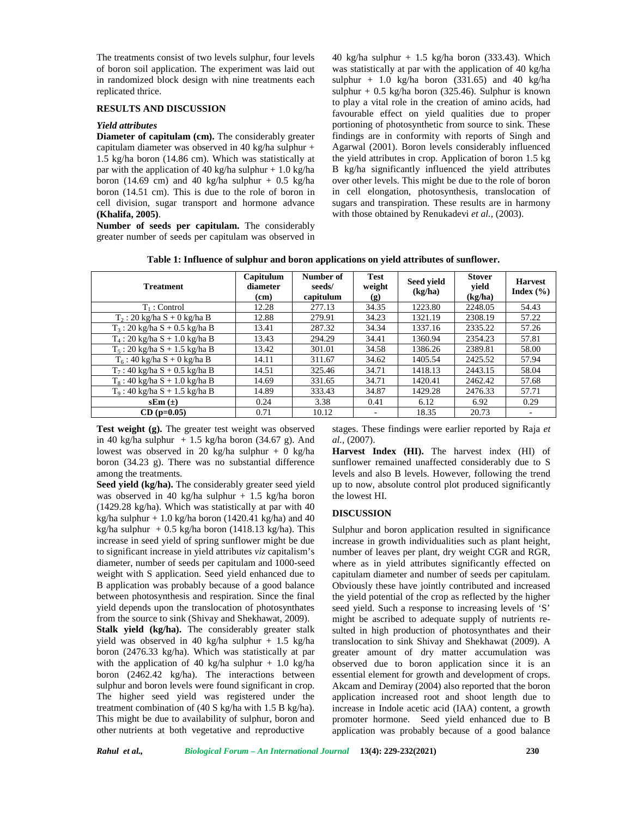The treatments consist of two levels sulphur, four levels of boron soil application. The experiment was laid out in randomized block design with nine treatments each replicated thrice.

## **RESULTS AND DISCUSSION**

### *Yield attributes*

**Diameter of capitulam (cm).** The considerably greater capitulam diameter was observed in 40 kg/ha sulphur + 1.5 kg/ha boron (14.86 cm). Which was statistically at par with the application of 40 kg/ha sulphur + 1.0 kg/ha boron (14.69 cm) and 40 kg/ha sulphur + 0.5 kg/ha boron (14.51 cm). This is due to the role of boron in cell division, sugar transport and hormone advance **(Khalifa, 2005)**.

**Number of seeds per capitulam.** The considerably greater number of seeds per capitulam was observed in

40 kg/ha sulphur  $+ 1.5$  kg/ha boron (333.43). Which was statistically at par with the application of 40 kg/ha sulphur + 1.0 kg/ha boron  $(331.65)$  and 40 kg/ha sulphur +  $0.5$  kg/ha boron (325.46). Sulphur is known to play a vital role in the creation of amino acids, had favourable effect on yield qualities due to proper portioning of photosynthetic from source to sink. These findings are in conformity with reports of Singh and Agarwal (2001). Boron levels considerably influenced the yield attributes in crop. Application of boron 1.5 kg B kg/ha significantly influenced the yield attributes over other levels. This might be due to the role of boron in cell elongation, photosynthesis, translocation of sugars and transpiration. These results are in harmony with those obtained by Renukadevi *et al.,* (2003).

|  |  | Table 1: Influence of sulphur and boron applications on yield attributes of sunflower. |  |
|--|--|----------------------------------------------------------------------------------------|--|
|  |  |                                                                                        |  |

| <b>Treatment</b>                 | Capitulum<br>diameter<br>(cm) | Number of<br>seeds/<br>capitulum | <b>Test</b><br>weight<br>$\left( \mathbf{g} \right)$ | Seed yield<br>(kg/ha) | <b>Stover</b><br>yield<br>(kg/ha) | <b>Harvest</b><br>Index $(\% )$ |
|----------------------------------|-------------------------------|----------------------------------|------------------------------------------------------|-----------------------|-----------------------------------|---------------------------------|
| $T_1$ : Control                  | 12.28                         | 277.13                           | 34.35                                                | 1223.80               | 2248.05                           | 54.43                           |
| $T_2$ : 20 kg/ha S + 0 kg/ha B   | 12.88                         | 279.91                           | 34.23                                                | 1321.19               | 2308.19                           | 57.22                           |
| $T_3$ : 20 kg/ha S + 0.5 kg/ha B | 13.41                         | 287.32                           | 34.34                                                | 1337.16               | 2335.22                           | 57.26                           |
| $T_4$ : 20 kg/ha S + 1.0 kg/ha B | 13.43                         | 294.29                           | 34.41                                                | 1360.94               | 2354.23                           | 57.81                           |
| $T_5$ : 20 kg/ha S + 1.5 kg/ha B | 13.42                         | 301.01                           | 34.58                                                | 1386.26               | 2389.81                           | 58.00                           |
| $T_6$ : 40 kg/ha S + 0 kg/ha B   | 14.11                         | 311.67                           | 34.62                                                | 1405.54               | 2425.52                           | 57.94                           |
| $T_7$ : 40 kg/ha S + 0.5 kg/ha B | 14.51                         | 325.46                           | 34.71                                                | 1418.13               | 2443.15                           | 58.04                           |
| $T_8$ : 40 kg/ha S + 1.0 kg/ha B | 14.69                         | 331.65                           | 34.71                                                | 1420.41               | 2462.42                           | 57.68                           |
| $T_9$ : 40 kg/ha S + 1.5 kg/ha B | 14.89                         | 333.43                           | 34.87                                                | 1429.28               | 2476.33                           | 57.71                           |
| $sEm(\pm)$                       | 0.24                          | 3.38                             | 0.41                                                 | 6.12                  | 6.92                              | 0.29                            |
| $CD$ (p=0.05)                    | 0.71                          | 10.12                            | ٠                                                    | 18.35                 | 20.73                             | $\overline{\phantom{a}}$        |

**Test weight (g).** The greater test weight was observed in 40 kg/ha sulphur  $+ 1.5$  kg/ha boron (34.67 g). And lowest was observed in 20 kg/ha sulphur + 0 kg/ha boron (34.23 g). There was no substantial difference among the treatments.

**Seed yield (kg/ha).** The considerably greater seed yield was observed in 40 kg/ha sulphur  $+ 1.5$  kg/ha boron (1429.28 kg/ha). Which was statistically at par with 40 kg/ha sulphur  $+ 1.0$  kg/ha boron (1420.41 kg/ha) and 40 kg/ha sulphur  $+ 0.5$  kg/ha boron (1418.13 kg/ha). This increase in seed yield of spring sunflower might be due to significant increase in yield attributes *viz* capitalism's diameter, number of seeds per capitulam and 1000-seed weight with S application. Seed yield enhanced due to B application was probably because of a good balance between photosynthesis and respiration. Since the final yield depends upon the translocation of photosynthates from the source to sink (Shivay and Shekhawat, 2009).

**Stalk yield (kg/ha).** The considerably greater stalk yield was observed in 40 kg/ha sulphur  $+ 1.5$  kg/ha boron (2476.33 kg/ha). Which was statistically at par with the application of 40 kg/ha sulphur + 1.0 kg/ha boron (2462.42 kg/ha). The interactions between sulphur and boron levels were found significant in crop. The higher seed yield was registered under the treatment combination of (40 S kg/ha with 1.5 B kg/ha). This might be due to availability of sulphur, boron and other nutrients at both vegetative and reproductive

stages. These findings were earlier reported by Raja *et al.,* (2007).

**Harvest Index (HI).** The harvest index (HI) of sunflower remained unaffected considerably due to S levels and also B levels. However, following the trend up to now, absolute control plot produced significantly the lowest HI.

#### **DISCUSSION**

Sulphur and boron application resulted in significance increase in growth individualities such as plant height, number of leaves per plant, dry weight CGR and RGR, where as in yield attributes significantly effected on capitulam diameter and number of seeds per capitulam. Obviously these have jointly contributed and increased the yield potential of the crop as reflected by the higher seed yield. Such a response to increasing levels of 'S' might be ascribed to adequate supply of nutrients re sulted in high production of photosynthates and their translocation to sink Shivay and Shekhawat (2009). A greater amount of dry matter accumulation was observed due to boron application since it is an essential element for growth and development of crops. Akcam and Demiray (2004) also reported that the boron application increased root and shoot length due to increase in Indole acetic acid (IAA) content, a growth promoter hormone. Seed yield enhanced due to B application was probably because of a good balance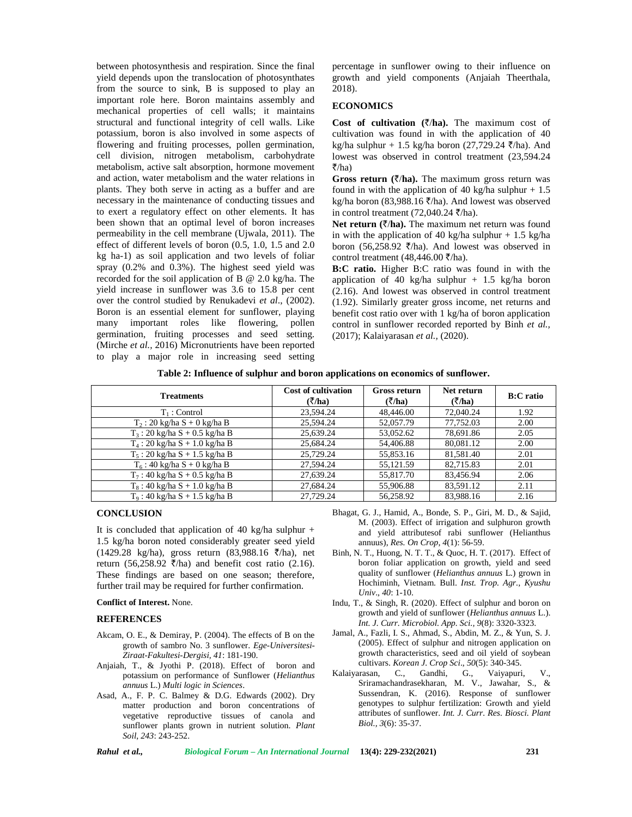between photosynthesis and respiration. Since the final yield depends upon the translocation of photosynthates from the source to sink, B is supposed to play an important role here. Boron maintains assembly and mechanical properties of cell walls; it maintains structural and functional integrity of cell walls. Like potassium, boron is also involved in some aspects of flowering and fruiting processes, pollen germination, cell division, nitrogen metabolism, carbohydrate metabolism, active salt absorption, hormone movement and action, water metabolism and the water relations in plants. They both serve in acting as a buffer and are necessary in the maintenance of conducting tissues and to exert a regulatory effect on other elements. It has been shown that an optimal level of boron increases permeability in the cell membrane (Ujwala, 2011). The effect of different levels of boron (0.5, 1.0, 1.5 and 2.0 kg ha-1) as soil application and two levels of foliar spray (0.2% and 0.3%). The highest seed yield was recorded for the soil application of B @ 2.0 kg/ha. The yield increase in sunflower was 3.6 to 15.8 per cent over the control studied by Renukadevi *et al*., (2002). Boron is an essential element for sunflower, playing many important roles like flowering, pollen germination, fruiting processes and seed setting. (Mirche *et al.,* 2016) Micronutrients have been reported to play a major role in increasing seed setting percentage in sunflower owing to their influence on growth and yield components (Anjaiah Theerthala, 2018).

## **ECONOMICS**

Cost of cultivation  $(\bar{z}/h a)$ . The maximum cost of cultivation was found in with the application of 40 kg/ha sulphur + 1.5 kg/ha boron (27,729.24  $\bar{\tau}$ /ha). And lowest was observed in control treatment (23,594.24  $\overline{\xi}/h$ a)

**Gross return (** $\bar{\zeta}/h$ **a).** The maximum gross return was found in with the application of 40 kg/ha sulphur  $+1.5$ kg/ha boron (83,988.16  $\bar{\zeta}$ /ha). And lowest was observed in control treatment (72,040.24  $\bar{\zeta}$ /ha).

**Net return**  $(\bar{\zeta}/h\mathbf{a})$ . The maximum net return was found in with the application of 40 kg/ha sulphur  $+ 1.5$  kg/ha boron (56,258.92  $\bar{\zeta}$ /ha). And lowest was observed in control treatment (48,446.00  $\bar{\tau}/h$ a).

**B:C ratio.** Higher B:C ratio was found in with the application of 40 kg/ha sulphur  $+$  1.5 kg/ha boron (2.16). And lowest was observed in control treatment (1.92). Similarly greater gross income, net returns and benefit cost ratio over with 1 kg/ha of boron application control in sunflower recorded reported by Binh *et al.,* (2017); Kalaiyarasan *et al.,* (2020).

**Table 2: Influence of sulphur and boron applications on economics of sunflower.**

| <b>Treatments</b>                | <b>Cost of cultivation</b><br>(7/ha) | <b>Gross return</b><br>(₹/ha) | Net return<br>(7/ha) | <b>B</b> :C ratio |
|----------------------------------|--------------------------------------|-------------------------------|----------------------|-------------------|
| $T_1$ : Control                  | 23,594.24                            | 48,446.00                     | 72,040.24            | 1.92              |
| $T_2$ : 20 kg/ha S + 0 kg/ha B   | 25.594.24                            | 52,057.79                     | 77,752.03            | 2.00              |
| $T_3$ : 20 kg/ha S + 0.5 kg/ha B | 25,639.24                            | 53,052.62                     | 78,691.86            | 2.05              |
| $T_4$ : 20 kg/ha S + 1.0 kg/ha B | 25,684.24                            | 54,406.88                     | 80.081.12            | 2.00              |
| $T_5$ : 20 kg/ha S + 1.5 kg/ha B | 25,729.24                            | 55,853.16                     | 81,581.40            | 2.01              |
| $T_6$ : 40 kg/ha S + 0 kg/ha B   | 27.594.24                            | 55,121.59                     | 82,715.83            | 2.01              |
| $T_7$ : 40 kg/ha S + 0.5 kg/ha B | 27,639.24                            | 55,817.70                     | 83,456.94            | 2.06              |
| $T_8$ : 40 kg/ha S + 1.0 kg/ha B | 27.684.24                            | 55,906.88                     | 83,591.12            | 2.11              |
| $T_9$ : 40 kg/ha S + 1.5 kg/ha B | 27,729.24                            | 56,258.92                     | 83,988.16            | 2.16              |

## **CONCLUSION**

It is concluded that application of 40 kg/ha sulphur  $+$ 1.5 kg/ha boron noted considerably greater seed yield  $(1429.28 \text{ kg/ha})$ , gross return  $(83,988.16 \text{ \textdegree} / \text{ha})$ , net return (56,258.92  $\bar{\zeta}$ /ha) and benefit cost ratio (2.16). These findings are based on one season; therefore, further trail may be required for further confirmation.

#### **Conflict of Interest.** None.

## **REFERENCES**

- Akcam, O. E., & Demiray, P. (2004). The effects of B on the growth of sambro No. 3 sunflower. *Ege-Universitesi- Ziraat-Fakultesi-Dergisi, 41*: 181-190.
- Anjaiah, T., & Jyothi P. (2018). Effect of boron and cultivar<br>
notaccium on performance of Sunflauer (Helianthus Kalaivarasan potassium on performance of Sunflower (*Helianthus annuus* L.) *Multi logic in Sciences*.
- Asad, A., F. P. C. Balmey & D.G. Edwards (2002). Dry matter production and boron concentrations of vegetative reproductive tissues of canola and sunflower plants grown in nutrient solution. *Plant Soil*, *243*: 243-252.
- Bhagat, G. J., Hamid, A., Bonde, S. P., Giri, M. D., & Sajid, M. (2003). Effect of irrigation and sulphuron growth and yield attributesof rabi sunflower (Helianthus annuus), *Res. On Crop*, *4*(1): 56-59.
- Binh, N. T., Huong, N. T. T., & Quoc, H. T. (2017). Effect of boron foliar application on growth, yield and seed quality of sunflower (*Helianthus annuus* L*.*) grown in Hochiminh, Vietnam. Bull. *Inst. Trop. Agr., Kyushu Univ*., *40*: 1*-*10.
- Indu, T., & Singh, R.(2020). Effect of sulphur and boron on growth and yield of sunflower (*Helianthus annuus* L.). *Int. J. Curr. Microbiol. App. Sci., 9*(8): 3320-3323.
- Jamal, A., Fazli, I. S., Ahmad, S., Abdin, M. Z., & Yun, S. J. (2005). Effect of sulphur and nitrogen application on growth characteristics, seed and oil yield of soybean cultivars. *Korean J. Crop Sci*.,*50*(5): 340-345.
- Kalaiyarasan, C., Gandhi, G., Vaiyapuri, V., Sriramachandrasekharan, M. V., Jawahar, S., & Sussendran, K. (2016). Response of sunflower genotypes to sulphur fertilization: Growth and yield attributes of sunflower. *Int. J. Curr. Res. Biosci. Plant Biol., 3*(6): 35-37.

*Rahul et al., Biological Forum – An International Journal* **13(4): 229-232(2021) 231**